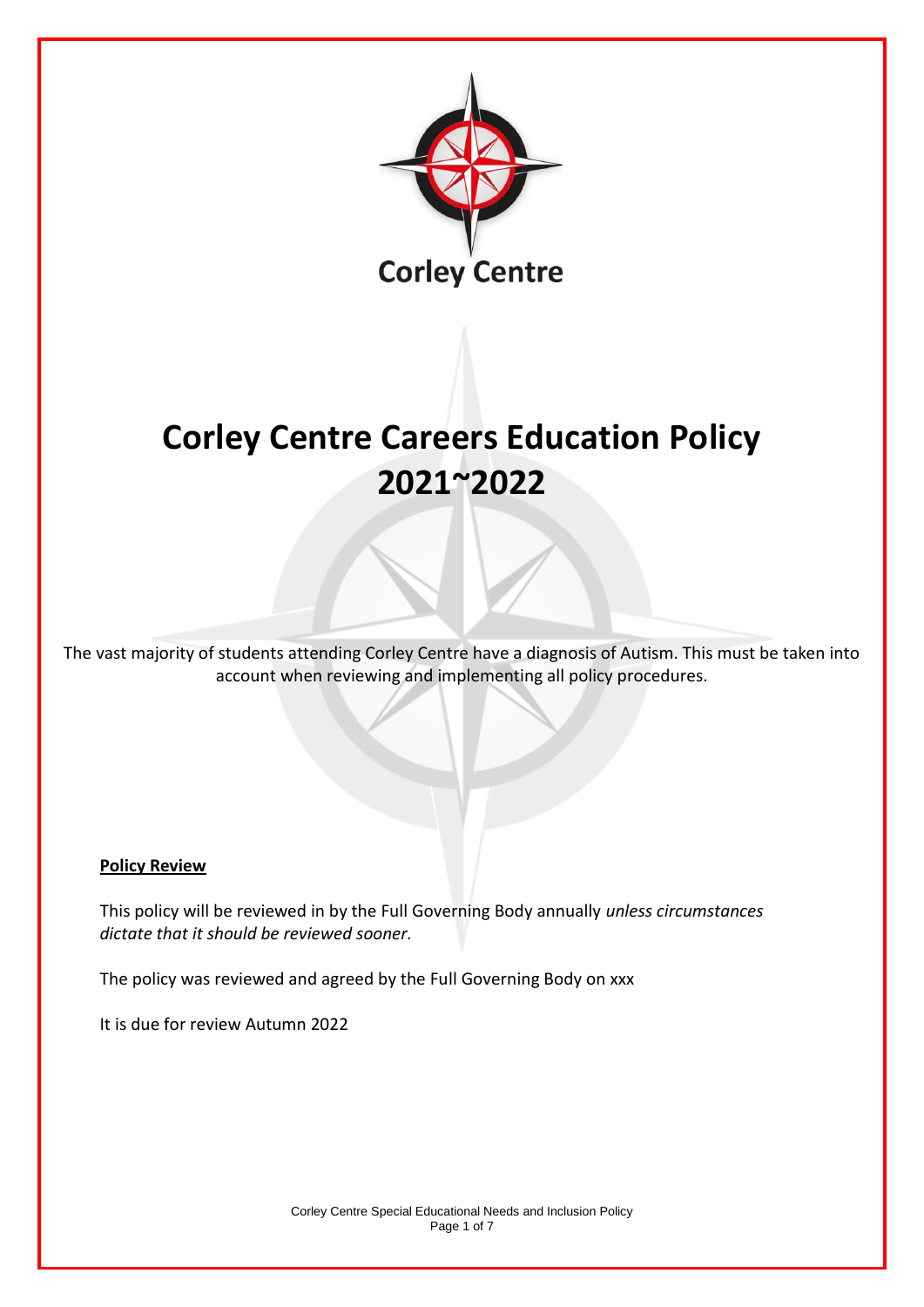

# **Corley Centre Careers Education Policy 2021~2022**

The vast majority of students attending Corley Centre have a diagnosis of Autism. This must be taken into account when reviewing and implementing all policy procedures.

#### **Policy Review**

This policy will be reviewed in by the Full Governing Body annually *unless circumstances dictate that it should be reviewed sooner.*

The policy was reviewed and agreed by the Full Governing Body on xxx

It is due for review Autumn 2022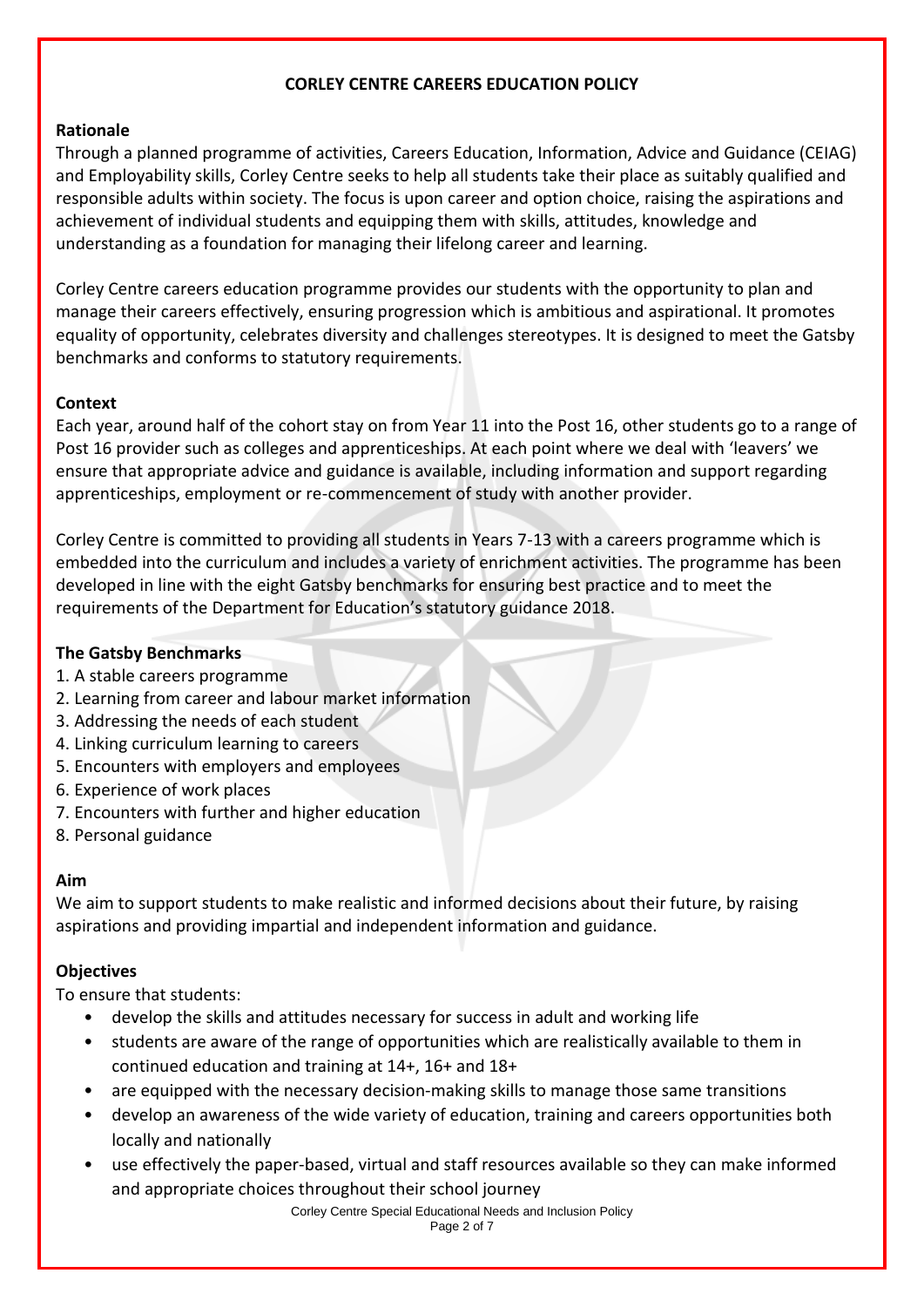### **CORLEY CENTRE CAREERS EDUCATION POLICY**

## **Rationale**

Through a planned programme of activities, Careers Education, Information, Advice and Guidance (CEIAG) and Employability skills, Corley Centre seeks to help all students take their place as suitably qualified and responsible adults within society. The focus is upon career and option choice, raising the aspirations and achievement of individual students and equipping them with skills, attitudes, knowledge and understanding as a foundation for managing their lifelong career and learning.

Corley Centre careers education programme provides our students with the opportunity to plan and manage their careers effectively, ensuring progression which is ambitious and aspirational. It promotes equality of opportunity, celebrates diversity and challenges stereotypes. It is designed to meet the Gatsby benchmarks and conforms to statutory requirements.

## **Context**

Each year, around half of the cohort stay on from Year 11 into the Post 16, other students go to a range of Post 16 provider such as colleges and apprenticeships. At each point where we deal with 'leavers' we ensure that appropriate advice and guidance is available, including information and support regarding apprenticeships, employment or re-commencement of study with another provider.

Corley Centre is committed to providing all students in Years 7-13 with a careers programme which is embedded into the curriculum and includes a variety of enrichment activities. The programme has been developed in line with the eight Gatsby benchmarks for ensuring best practice and to meet the requirements of the Department for Education's statutory guidance 2018.

## **The Gatsby Benchmarks**

- 1. A stable careers programme
- 2. Learning from career and labour market information
- 3. Addressing the needs of each student
- 4. Linking curriculum learning to careers
- 5. Encounters with employers and employees
- 6. Experience of work places
- 7. Encounters with further and higher education
- 8. Personal guidance

## **Aim**

We aim to support students to make realistic and informed decisions about their future, by raising aspirations and providing impartial and independent information and guidance.

## **Objectives**

To ensure that students:

- develop the skills and attitudes necessary for success in adult and working life
- students are aware of the range of opportunities which are realistically available to them in continued education and training at 14+, 16+ and 18+
- are equipped with the necessary decision-making skills to manage those same transitions
- develop an awareness of the wide variety of education, training and careers opportunities both locally and nationally
- use effectively the paper-based, virtual and staff resources available so they can make informed and appropriate choices throughout their school journey

Corley Centre Special Educational Needs and Inclusion Policy Page 2 of 7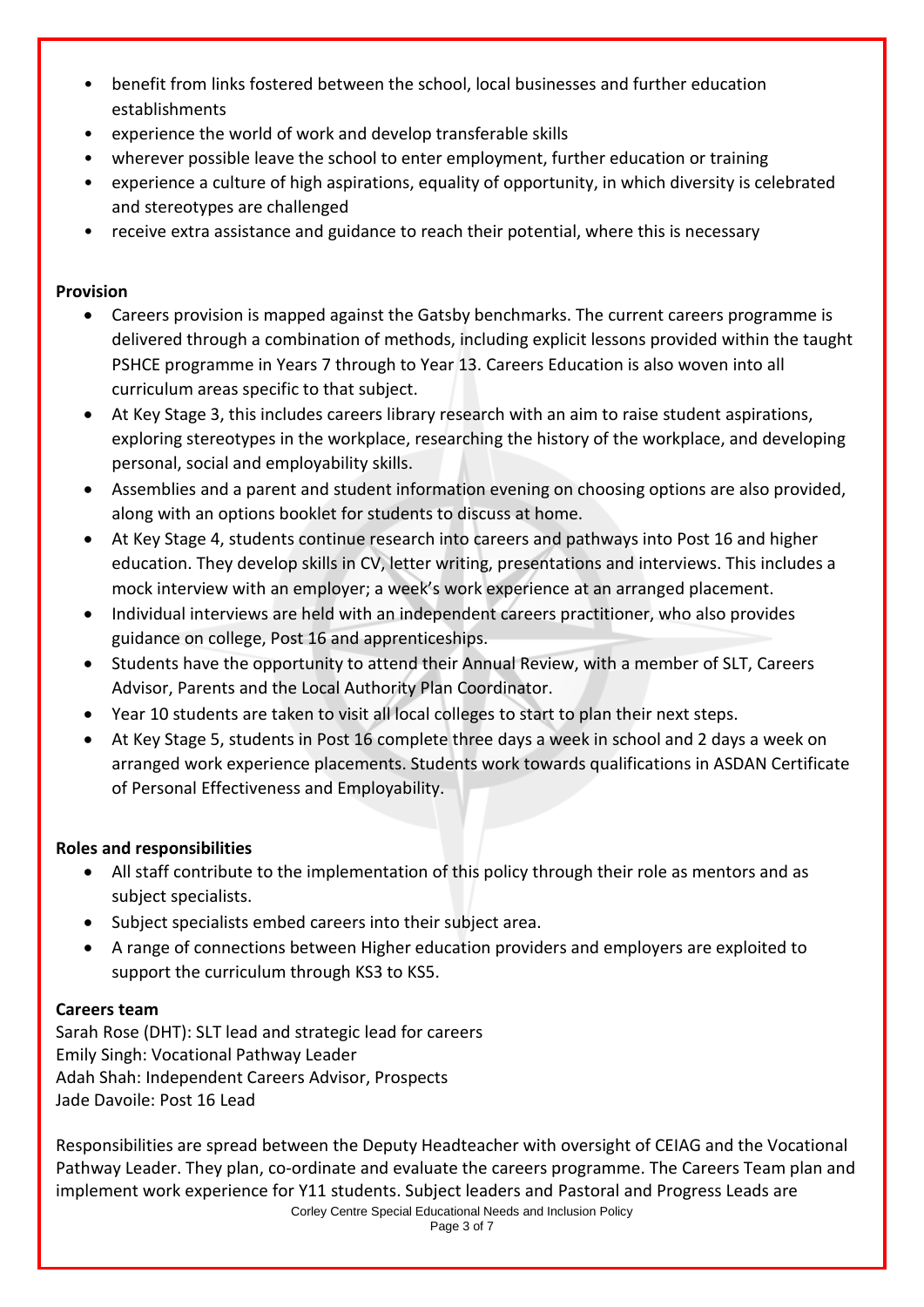- benefit from links fostered between the school, local businesses and further education establishments
- experience the world of work and develop transferable skills
- wherever possible leave the school to enter employment, further education or training
- experience a culture of high aspirations, equality of opportunity, in which diversity is celebrated and stereotypes are challenged
- receive extra assistance and guidance to reach their potential, where this is necessary

# **Provision**

- Careers provision is mapped against the Gatsby benchmarks. The current careers programme is delivered through a combination of methods, including explicit lessons provided within the taught PSHCE programme in Years 7 through to Year 13. Careers Education is also woven into all curriculum areas specific to that subject.
- At Key Stage 3, this includes careers library research with an aim to raise student aspirations, exploring stereotypes in the workplace, researching the history of the workplace, and developing personal, social and employability skills.
- Assemblies and a parent and student information evening on choosing options are also provided, along with an options booklet for students to discuss at home.
- At Key Stage 4, students continue research into careers and pathways into Post 16 and higher education. They develop skills in CV, letter writing, presentations and interviews. This includes a mock interview with an employer; a week's work experience at an arranged placement.
- Individual interviews are held with an independent careers practitioner, who also provides guidance on college, Post 16 and apprenticeships.
- Students have the opportunity to attend their Annual Review, with a member of SLT, Careers Advisor, Parents and the Local Authority Plan Coordinator.
- Year 10 students are taken to visit all local colleges to start to plan their next steps.
- At Key Stage 5, students in Post 16 complete three days a week in school and 2 days a week on arranged work experience placements. Students work towards qualifications in ASDAN Certificate of Personal Effectiveness and Employability.

# **Roles and responsibilities**

- All staff contribute to the implementation of this policy through their role as mentors and as subject specialists.
- Subject specialists embed careers into their subject area.
- A range of connections between Higher education providers and employers are exploited to support the curriculum through KS3 to KS5.

# **Careers team**

Sarah Rose (DHT): SLT lead and strategic lead for careers Emily Singh: Vocational Pathway Leader Adah Shah: Independent Careers Advisor, Prospects Jade Davoile: Post 16 Lead

Corley Centre Special Educational Needs and Inclusion Policy Responsibilities are spread between the Deputy Headteacher with oversight of CEIAG and the Vocational Pathway Leader. They plan, co-ordinate and evaluate the careers programme. The Careers Team plan and implement work experience for Y11 students. Subject leaders and Pastoral and Progress Leads are

Page 3 of 7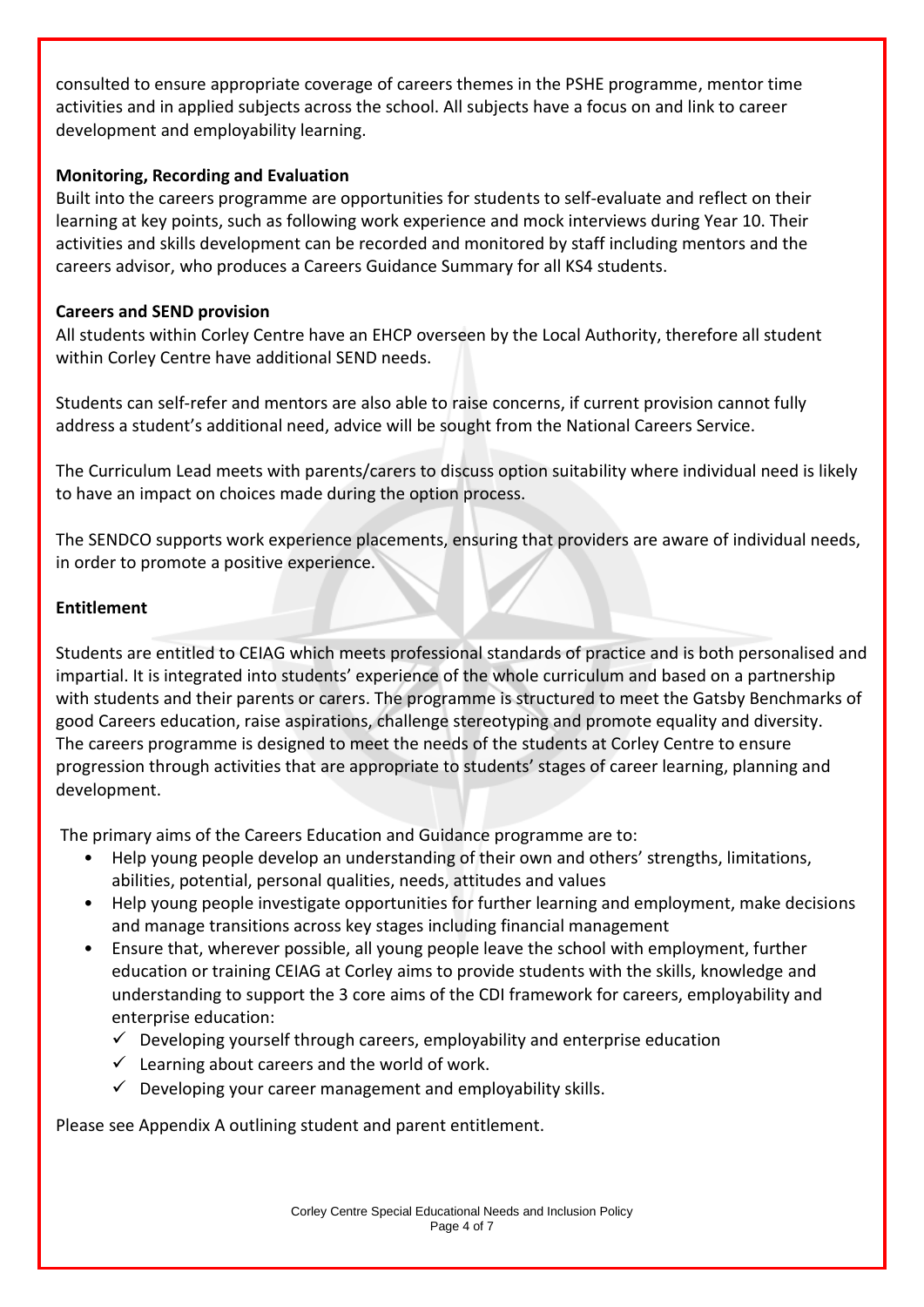consulted to ensure appropriate coverage of careers themes in the PSHE programme, mentor time activities and in applied subjects across the school. All subjects have a focus on and link to career development and employability learning.

## **Monitoring, Recording and Evaluation**

Built into the careers programme are opportunities for students to self-evaluate and reflect on their learning at key points, such as following work experience and mock interviews during Year 10. Their activities and skills development can be recorded and monitored by staff including mentors and the careers advisor, who produces a Careers Guidance Summary for all KS4 students.

## **Careers and SEND provision**

All students within Corley Centre have an EHCP overseen by the Local Authority, therefore all student within Corley Centre have additional SEND needs.

Students can self-refer and mentors are also able to raise concerns, if current provision cannot fully address a student's additional need, advice will be sought from the National Careers Service.

The Curriculum Lead meets with parents/carers to discuss option suitability where individual need is likely to have an impact on choices made during the option process.

The SENDCO supports work experience placements, ensuring that providers are aware of individual needs, in order to promote a positive experience.

### **Entitlement**

Students are entitled to CEIAG which meets professional standards of practice and is both personalised and impartial. It is integrated into students' experience of the whole curriculum and based on a partnership with students and their parents or carers. The programme is structured to meet the Gatsby Benchmarks of good Careers education, raise aspirations, challenge stereotyping and promote equality and diversity. The careers programme is designed to meet the needs of the students at Corley Centre to ensure progression through activities that are appropriate to students' stages of career learning, planning and development.

The primary aims of the Careers Education and Guidance programme are to:

- Help young people develop an understanding of their own and others' strengths, limitations, abilities, potential, personal qualities, needs, attitudes and values
- Help young people investigate opportunities for further learning and employment, make decisions and manage transitions across key stages including financial management
- Ensure that, wherever possible, all young people leave the school with employment, further education or training CEIAG at Corley aims to provide students with the skills, knowledge and understanding to support the 3 core aims of the CDI framework for careers, employability and enterprise education:
	- $\checkmark$  Developing yourself through careers, employability and enterprise education
	- $\checkmark$  Learning about careers and the world of work.
	- $\checkmark$  Developing your career management and employability skills.

Please see Appendix A outlining student and parent entitlement.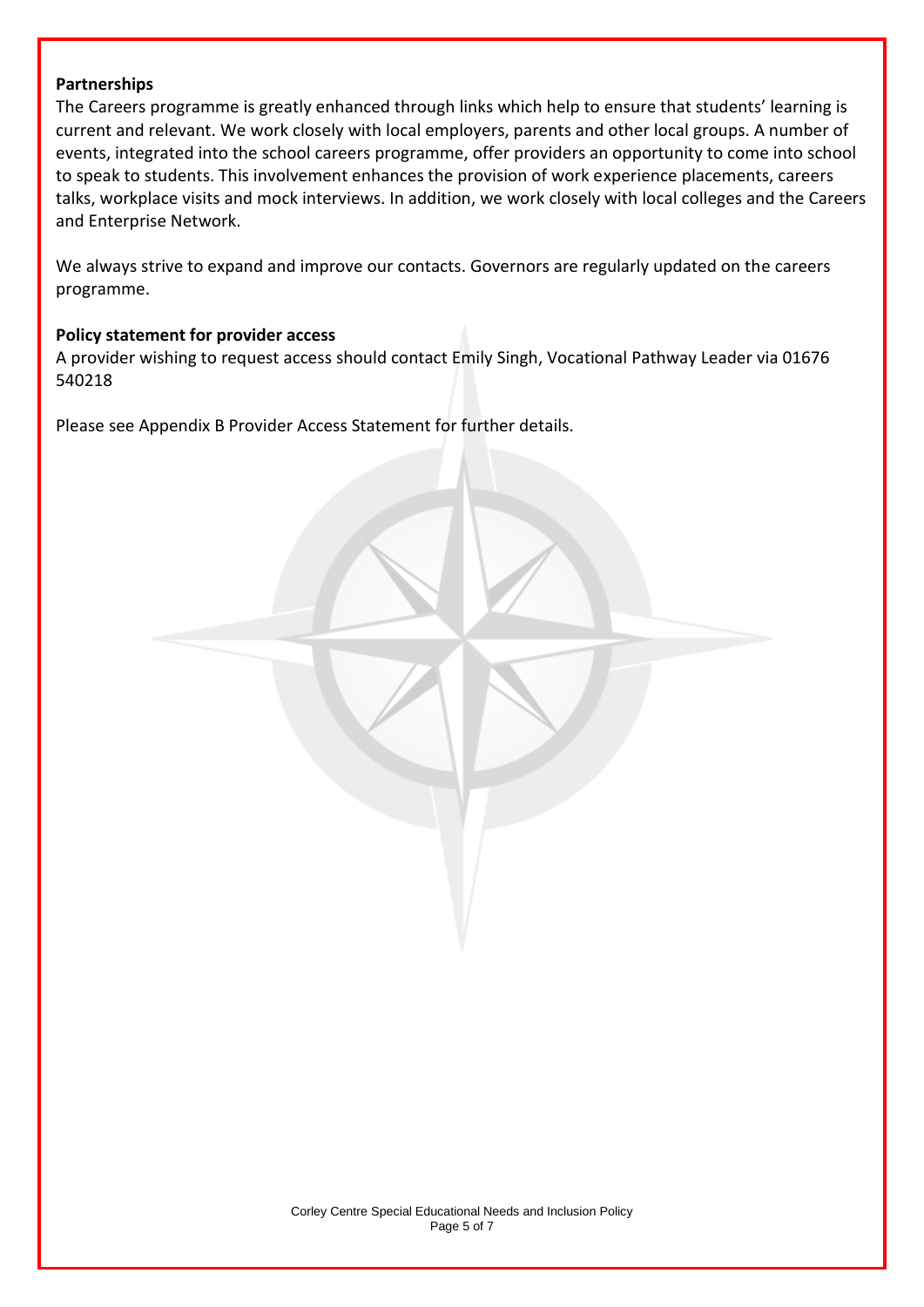#### **Partnerships**

The Careers programme is greatly enhanced through links which help to ensure that students' learning is current and relevant. We work closely with local employers, parents and other local groups. A number of events, integrated into the school careers programme, offer providers an opportunity to come into school to speak to students. This involvement enhances the provision of work experience placements, careers talks, workplace visits and mock interviews. In addition, we work closely with local colleges and the Careers and Enterprise Network.

We always strive to expand and improve our contacts. Governors are regularly updated on the careers programme.

#### **Policy statement for provider access**

A provider wishing to request access should contact Emily Singh, Vocational Pathway Leader via 01676 540218

Please see Appendix B Provider Access Statement for further details.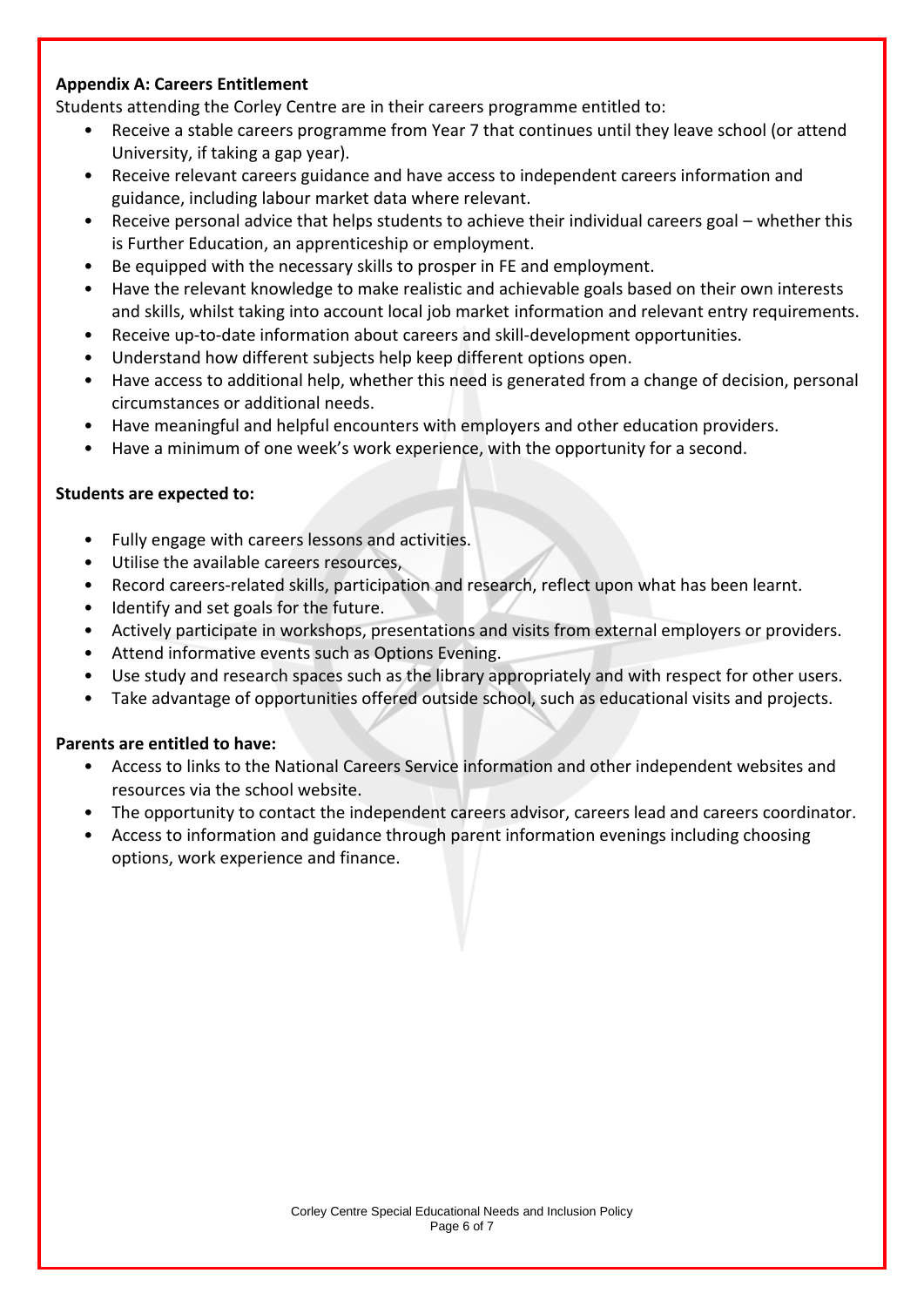## **Appendix A: Careers Entitlement**

Students attending the Corley Centre are in their careers programme entitled to:

- Receive a stable careers programme from Year 7 that continues until they leave school (or attend University, if taking a gap year).
- Receive relevant careers guidance and have access to independent careers information and guidance, including labour market data where relevant.
- Receive personal advice that helps students to achieve their individual careers goal whether this is Further Education, an apprenticeship or employment.
- Be equipped with the necessary skills to prosper in FE and employment.
- Have the relevant knowledge to make realistic and achievable goals based on their own interests and skills, whilst taking into account local job market information and relevant entry requirements.
- Receive up-to-date information about careers and skill-development opportunities.
- Understand how different subjects help keep different options open.
- Have access to additional help, whether this need is generated from a change of decision, personal circumstances or additional needs.
- Have meaningful and helpful encounters with employers and other education providers.
- Have a minimum of one week's work experience, with the opportunity for a second.

#### **Students are expected to:**

- Fully engage with careers lessons and activities.
- Utilise the available careers resources,
- Record careers-related skills, participation and research, reflect upon what has been learnt.
- Identify and set goals for the future.
- Actively participate in workshops, presentations and visits from external employers or providers.
- Attend informative events such as Options Evening.
- Use study and research spaces such as the library appropriately and with respect for other users.
- Take advantage of opportunities offered outside school, such as educational visits and projects.

#### **Parents are entitled to have:**

- Access to links to the National Careers Service information and other independent websites and resources via the school website.
- The opportunity to contact the independent careers advisor, careers lead and careers coordinator.
- Access to information and guidance through parent information evenings including choosing options, work experience and finance.